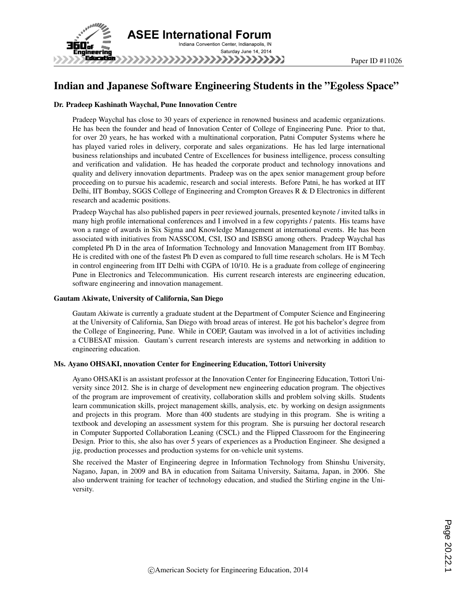

# Indian and Japanese Software Engineering Students in the "Egoless Space"

#### Dr. Pradeep Kashinath Waychal, Pune Innovation Centre

Pradeep Waychal has close to 30 years of experience in renowned business and academic organizations. He has been the founder and head of Innovation Center of College of Engineering Pune. Prior to that, for over 20 years, he has worked with a multinational corporation, Patni Computer Systems where he has played varied roles in delivery, corporate and sales organizations. He has led large international business relationships and incubated Centre of Excellences for business intelligence, process consulting and verification and validation. He has headed the corporate product and technology innovations and quality and delivery innovation departments. Pradeep was on the apex senior management group before proceeding on to pursue his academic, research and social interests. Before Patni, he has worked at IIT Delhi, IIT Bombay, SGGS College of Engineering and Crompton Greaves R & D Electronics in different research and academic positions.

Pradeep Waychal has also published papers in peer reviewed journals, presented keynote / invited talks in many high profile international conferences and I involved in a few copyrights / patents. His teams have won a range of awards in Six Sigma and Knowledge Management at international events. He has been associated with initiatives from NASSCOM, CSI, ISO and ISBSG among others. Pradeep Waychal has completed Ph D in the area of Information Technology and Innovation Management from IIT Bombay. He is credited with one of the fastest Ph D even as compared to full time research scholars. He is M Tech in control engineering from IIT Delhi with CGPA of 10/10. He is a graduate from college of engineering Pune in Electronics and Telecommunication. His current research interests are engineering education, software engineering and innovation management.

#### Gautam Akiwate, University of California, San Diego

Gautam Akiwate is currently a graduate student at the Department of Computer Science and Engineering at the University of California, San Diego with broad areas of interest. He got his bachelor's degree from the College of Engineering, Pune. While in COEP, Gautam was involved in a lot of activities including a CUBESAT mission. Gautam's current research interests are systems and networking in addition to engineering education.

### Ms. Ayano OHSAKI, nnovation Center for Engineering Education, Tottori University

Ayano OHSAKI is an assistant professor at the Innovation Center for Engineering Education, Tottori University since 2012. She is in charge of development new engineering education program. The objectives of the program are improvement of creativity, collaboration skills and problem solving skills. Students learn communication skills, project management skills, analysis, etc. by working on design assignments and projects in this program. More than 400 students are studying in this program. She is writing a textbook and developing an assessment system for this program. She is pursuing her doctoral research in Computer Supported Collaboration Leaning (CSCL) and the Flipped Classroom for the Engineering Design. Prior to this, she also has over 5 years of experiences as a Production Engineer. She designed a jig, production processes and production systems for on-vehicle unit systems.

She received the Master of Engineering degree in Information Technology from Shinshu University, Nagano, Japan, in 2009 and BA in education from Saitama University, Saitama, Japan, in 2006. She also underwent training for teacher of technology education, and studied the Stirling engine in the University.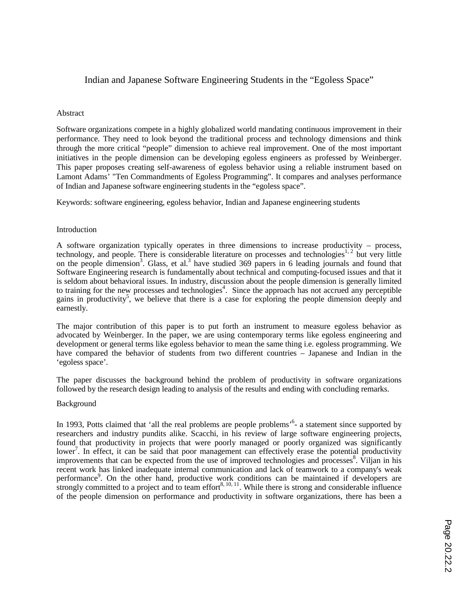# Indian and Japanese Software Engineering Students in the "Egoless Space"

# Abstract

Software organizations compete in a highly globalized world mandating continuous improvement in their performance. They need to look beyond the traditional process and technology dimensions and think through the more critical "people" dimension to achieve real improvement. One of the most important initiatives in the people dimension can be developing egoless engineers as professed by Weinberger. This paper proposes creating self-awareness of egoless behavior using a reliable instrument based on Lamont Adams' "Ten Commandments of Egoless Programming". It compares and analyses performance of Indian and Japanese software engineering students in the "egoless space".

Keywords: software engineering, egoless behavior, Indian and Japanese engineering students

# Introduction

A software organization typically operates in three dimensions to increase productivity – process, technology, and people. There is considerable literature on processes and technologies<sup>1, 2</sup> but very little on the people dimension<sup>3</sup>. Glass, et al.<sup>3</sup> have studied 369 papers in 6 leading journals and found that Software Engineering research is fundamentally about technical and computing-focused issues and that it is seldom about behavioral issues. In industry, discussion about the people dimension is generally limited to training for the new processes and technologies<sup>4</sup>. Since the approach has not accrued any perceptible gains in productivity<sup>5</sup>, we believe that there is a case for exploring the people dimension deeply and earnestly.

The major contribution of this paper is to put forth an instrument to measure egoless behavior as advocated by Weinberger. In the paper, we are using contemporary terms like egoless engineering and development or general terms like egoless behavior to mean the same thing i.e. egoless programming. We have compared the behavior of students from two different countries – Japanese and Indian in the 'egoless space'.

The paper discusses the background behind the problem of productivity in software organizations followed by the research design leading to analysis of the results and ending with concluding remarks.

### Background

In 1993, Potts claimed that 'all the real problems are people problems'<sup>6</sup>- a statement since supported by researchers and industry pundits alike. Scacchi, in his review of large software engineering projects, found that productivity in projects that were poorly managed or poorly organized was significantly lower<sup>7</sup>. In effect, it can be said that poor management can effectively erase the potential productivity improvements that can be expected from the use of improved technologies and processes<sup>8</sup>. Viljan in his recent work has linked inadequate internal communication and lack of teamwork to a company's weak performance<sup>9</sup>. On the other hand, productive work conditions can be maintained if developers are strongly committed to a project and to team effort<sup>8, 10, 11</sup>. While there is strong and considerable influence of the people dimension on performance and productivity in software organizations, there has been a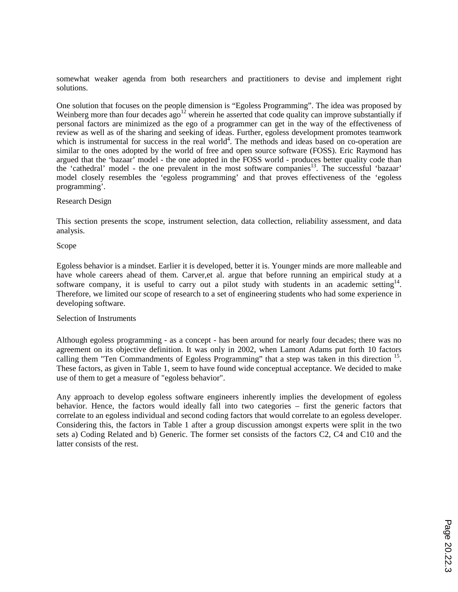somewhat weaker agenda from both researchers and practitioners to devise and implement right solutions.

One solution that focuses on the people dimension is "Egoless Programming". The idea was proposed by Weinberg more than four decades ago<sup>12</sup> wherein he asserted that code quality can improve substantially if personal factors are minimized as the ego of a programmer can get in the way of the effectiveness of review as well as of the sharing and seeking of ideas. Further, egoless development promotes teamwork which is instrumental for success in the real world<sup>4</sup>. The methods and ideas based on co-operation are similar to the ones adopted by the world of free and open source software (FOSS). Eric Raymond has argued that the 'bazaar' model - the one adopted in the FOSS world - produces better quality code than the 'cathedral' model - the one prevalent in the most software companies<sup>13</sup>. The successful 'bazaar' model closely resembles the 'egoless programming' and that proves effectiveness of the 'egoless programming'.

# Research Design

This section presents the scope, instrument selection, data collection, reliability assessment, and data analysis.

# Scope

Egoless behavior is a mindset. Earlier it is developed, better it is. Younger minds are more malleable and have whole careers ahead of them. Carver, et al. argue that before running an empirical study at a software company, it is useful to carry out a pilot study with students in an academic setting  $14$ . Therefore, we limited our scope of research to a set of engineering students who had some experience in developing software.

### Selection of Instruments

Although egoless programming - as a concept - has been around for nearly four decades; there was no agreement on its objective definition. It was only in 2002, when Lamont Adams put forth 10 factors calling them "Ten Commandments of Egoless Programming" that a step was taken in this direction <sup>15</sup>. These factors, as given in Table 1, seem to have found wide conceptual acceptance. We decided to make use of them to get a measure of "egoless behavior".

Any approach to develop egoless software engineers inherently implies the development of egoless behavior. Hence, the factors would ideally fall into two categories – first the generic factors that correlate to an egoless individual and second coding factors that would correlate to an egoless developer. Considering this, the factors in Table 1 after a group discussion amongst experts were split in the two sets a) Coding Related and b) Generic. The former set consists of the factors C2, C4 and C10 and the latter consists of the rest.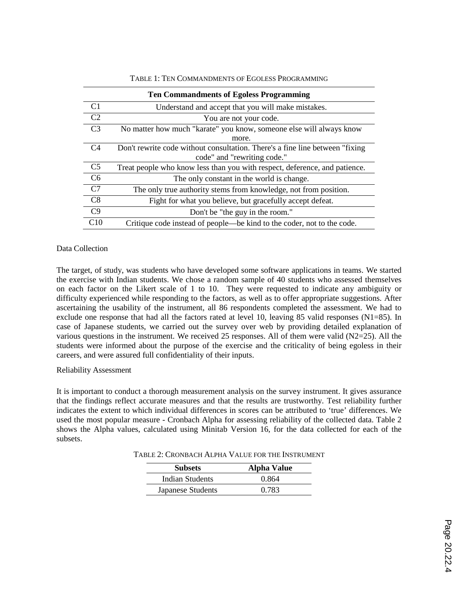| <b>Ten Commandments of Egoless Programming</b> |                                                                               |  |  |  |  |
|------------------------------------------------|-------------------------------------------------------------------------------|--|--|--|--|
| C <sub>1</sub>                                 | Understand and accept that you will make mistakes.                            |  |  |  |  |
| C <sub>2</sub>                                 | You are not your code.                                                        |  |  |  |  |
| C <sub>3</sub>                                 | No matter how much "karate" you know, someone else will always know           |  |  |  |  |
|                                                | more.                                                                         |  |  |  |  |
| C <sub>4</sub>                                 | Don't rewrite code without consultation. There's a fine line between "fixing" |  |  |  |  |
|                                                | code" and "rewriting code."                                                   |  |  |  |  |
| C <sub>5</sub>                                 | Treat people who know less than you with respect, deference, and patience.    |  |  |  |  |
| C <sub>6</sub>                                 | The only constant in the world is change.                                     |  |  |  |  |
| C7                                             | The only true authority stems from knowledge, not from position.              |  |  |  |  |
| C8                                             | Fight for what you believe, but gracefully accept defeat.                     |  |  |  |  |
| C9                                             | Don't be "the guy in the room."                                               |  |  |  |  |
| C10                                            | Critique code instead of people—be kind to the coder, not to the code.        |  |  |  |  |

Data Collection

The target, of study, was students who have developed some software applications in teams. We started the exercise with Indian students. We chose a random sample of 40 students who assessed themselves on each factor on the Likert scale of 1 to 10. They were requested to indicate any ambiguity or difficulty experienced while responding to the factors, as well as to offer appropriate suggestions. After ascertaining the usability of the instrument, all 86 respondents completed the assessment. We had to exclude one response that had all the factors rated at level 10, leaving 85 valid responses (N1=85). In case of Japanese students, we carried out the survey over web by providing detailed explanation of various questions in the instrument. We received 25 responses. All of them were valid (N2=25). All the students were informed about the purpose of the exercise and the criticality of being egoless in their careers, and were assured full confidentiality of their inputs.

### Reliability Assessment

It is important to conduct a thorough measurement analysis on the survey instrument. It gives assurance that the findings reflect accurate measures and that the results are trustworthy. Test reliability further indicates the extent to which individual differences in scores can be attributed to 'true' differences. We used the most popular measure - Cronbach Alpha for assessing reliability of the collected data. Table 2 shows the Alpha values, calculated using Minitab Version 16, for the data collected for each of the subsets.

| TABLE 2: CRONBACH ALPHA VALUE FOR THE INSTRUMENT |  |
|--------------------------------------------------|--|
|--------------------------------------------------|--|

| <b>Subsets</b>         | <b>Alpha Value</b> |
|------------------------|--------------------|
| <b>Indian Students</b> | 0.864              |
| Japanese Students      | 0.783              |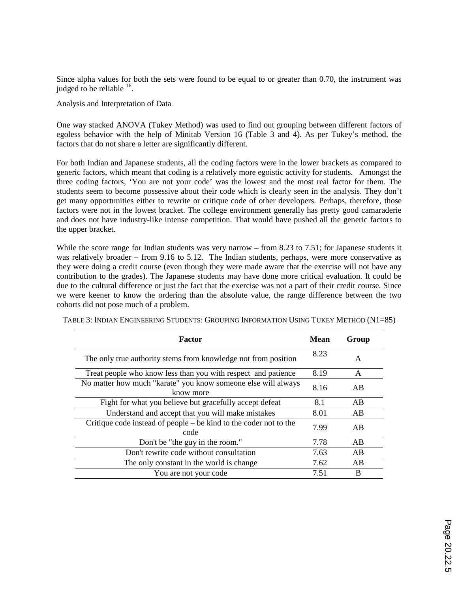Since alpha values for both the sets were found to be equal to or greater than 0.70, the instrument was judged to be reliable  $16$ .

Analysis and Interpretation of Data

One way stacked ANOVA (Tukey Method) was used to find out grouping between different factors of egoless behavior with the help of Minitab Version 16 (Table 3 and 4). As per Tukey's method, the factors that do not share a letter are significantly different.

For both Indian and Japanese students, all the coding factors were in the lower brackets as compared to generic factors, which meant that coding is a relatively more egoistic activity for students. Amongst the three coding factors, 'You are not your code' was the lowest and the most real factor for them. The students seem to become possessive about their code which is clearly seen in the analysis. They don't get many opportunities either to rewrite or critique code of other developers. Perhaps, therefore, those factors were not in the lowest bracket. The college environment generally has pretty good camaraderie and does not have industry-like intense competition. That would have pushed all the generic factors to the upper bracket.

While the score range for Indian students was very narrow – from 8.23 to 7.51; for Japanese students it was relatively broader – from 9.16 to 5.12. The Indian students, perhaps, were more conservative as they were doing a credit course (even though they were made aware that the exercise will not have any contribution to the grades). The Japanese students may have done more critical evaluation. It could be due to the cultural difference or just the fact that the exercise was not a part of their credit course. Since we were keener to know the ordering than the absolute value, the range difference between the two cohorts did not pose much of a problem.

| Factor                                                                     | Mean | Group |
|----------------------------------------------------------------------------|------|-------|
| The only true authority stems from knowledge not from position             | 8.23 | A     |
| Treat people who know less than you with respect and patience              | 8.19 | A     |
| No matter how much "karate" you know someone else will always<br>know more | 8.16 | AB    |
| Fight for what you believe but gracefully accept defeat                    | 8.1  | AB    |
| Understand and accept that you will make mistakes                          | 8.01 | AB    |
| Critique code instead of people – be kind to the coder not to the<br>code  | 7.99 | AB    |
| Don't be "the guy in the room."                                            | 7.78 | AB    |
| Don't rewrite code without consultation                                    | 7.63 | AB    |
| The only constant in the world is change.                                  | 7.62 | AB    |
| You are not your code                                                      | 7.51 | B     |

TABLE 3: INDIAN ENGINEERING STUDENTS: GROUPING INFORMATION USING TUKEY METHOD (N1=85)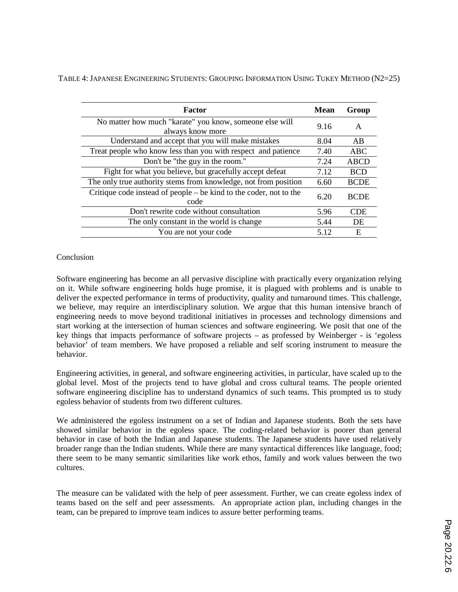|  | TABLE 4: JAPANESE ENGINEERING STUDENTS: GROUPING INFORMATION USING TUKEY METHOD (N2=25) |  |
|--|-----------------------------------------------------------------------------------------|--|
|--|-----------------------------------------------------------------------------------------|--|

| <b>Factor</b>                                                                | <b>Mean</b> | Group       |
|------------------------------------------------------------------------------|-------------|-------------|
| No matter how much "karate" you know, someone else will<br>always know more  |             | A           |
| Understand and accept that you will make mistakes                            | 8.04        | AB          |
| Treat people who know less than you with respect and patience                | 7.40        | ABC         |
| Don't be "the guy in the room."                                              | 7.24        | ABCD        |
| Fight for what you believe, but gracefully accept defeat                     | 7.12        | <b>BCD</b>  |
| The only true authority stems from knowledge, not from position              |             | <b>BCDE</b> |
| Critique code instead of people $-$ be kind to the coder, not to the<br>code |             | <b>BCDE</b> |
| Don't rewrite code without consultation                                      | 5.96        | <b>CDE</b>  |
| The only constant in the world is change                                     | 5.44        | DE          |
| You are not your code                                                        |             | E           |

# Conclusion

Software engineering has become an all pervasive discipline with practically every organization relying on it. While software engineering holds huge promise, it is plagued with problems and is unable to deliver the expected performance in terms of productivity, quality and turnaround times. This challenge, we believe, may require an interdisciplinary solution. We argue that this human intensive branch of engineering needs to move beyond traditional initiatives in processes and technology dimensions and start working at the intersection of human sciences and software engineering. We posit that one of the key things that impacts performance of software projects – as professed by Weinberger - is 'egoless behavior' of team members. We have proposed a reliable and self scoring instrument to measure the behavior.

Engineering activities, in general, and software engineering activities, in particular, have scaled up to the global level. Most of the projects tend to have global and cross cultural teams. The people oriented software engineering discipline has to understand dynamics of such teams. This prompted us to study egoless behavior of students from two different cultures.

We administered the egoless instrument on a set of Indian and Japanese students. Both the sets have showed similar behavior in the egoless space. The coding-related behavior is poorer than general behavior in case of both the Indian and Japanese students. The Japanese students have used relatively broader range than the Indian students. While there are many syntactical differences like language, food; there seem to be many semantic similarities like work ethos, family and work values between the two cultures.

The measure can be validated with the help of peer assessment. Further, we can create egoless index of teams based on the self and peer assessments. An appropriate action plan, including changes in the team, can be prepared to improve team indices to assure better performing teams.